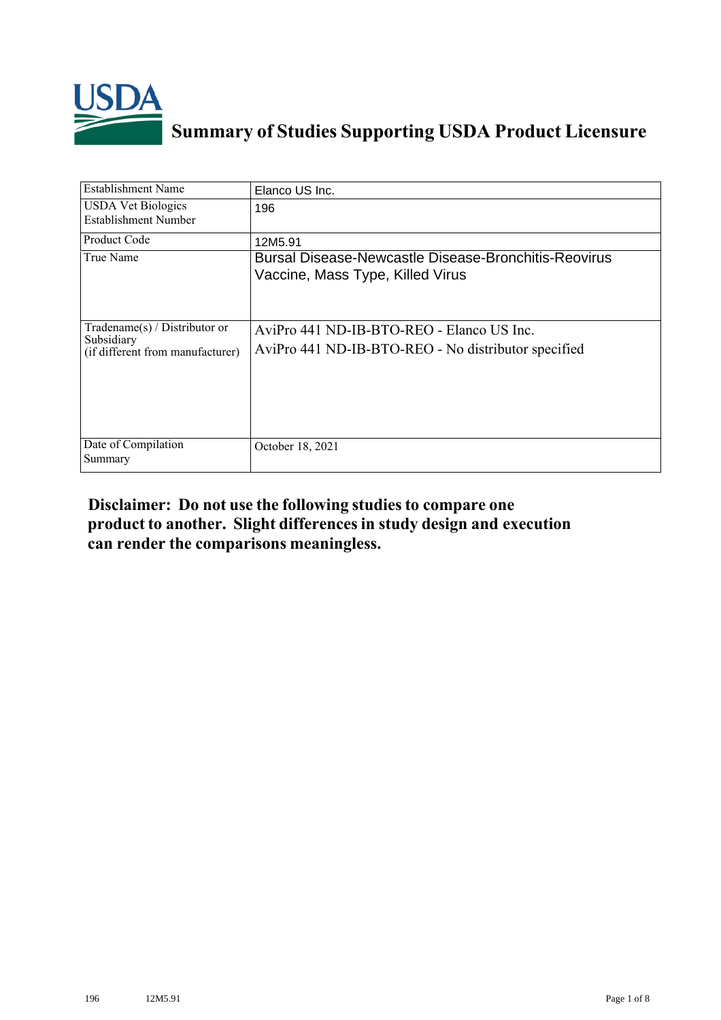

## **Summary of Studies Supporting USDA Product Licensure**

| <b>Establishment Name</b>                                                       | Elanco US Inc.                                                                                   |
|---------------------------------------------------------------------------------|--------------------------------------------------------------------------------------------------|
| <b>USDA Vet Biologics</b><br>Establishment Number                               | 196                                                                                              |
| <b>Product Code</b>                                                             | 12M5.91                                                                                          |
| True Name                                                                       | <b>Bursal Disease-Newcastle Disease-Bronchitis-Reovirus</b><br>Vaccine, Mass Type, Killed Virus  |
| Tradename(s) / Distributor or<br>Subsidiary<br>(if different from manufacturer) | AviPro 441 ND-IB-BTO-REO - Elanco US Inc.<br>AviPro 441 ND-IB-BTO-REO - No distributor specified |
| Date of Compilation<br>Summary                                                  | October 18, 2021                                                                                 |

## **Disclaimer: Do not use the following studiesto compare one product to another. Slight differencesin study design and execution can render the comparisons meaningless.**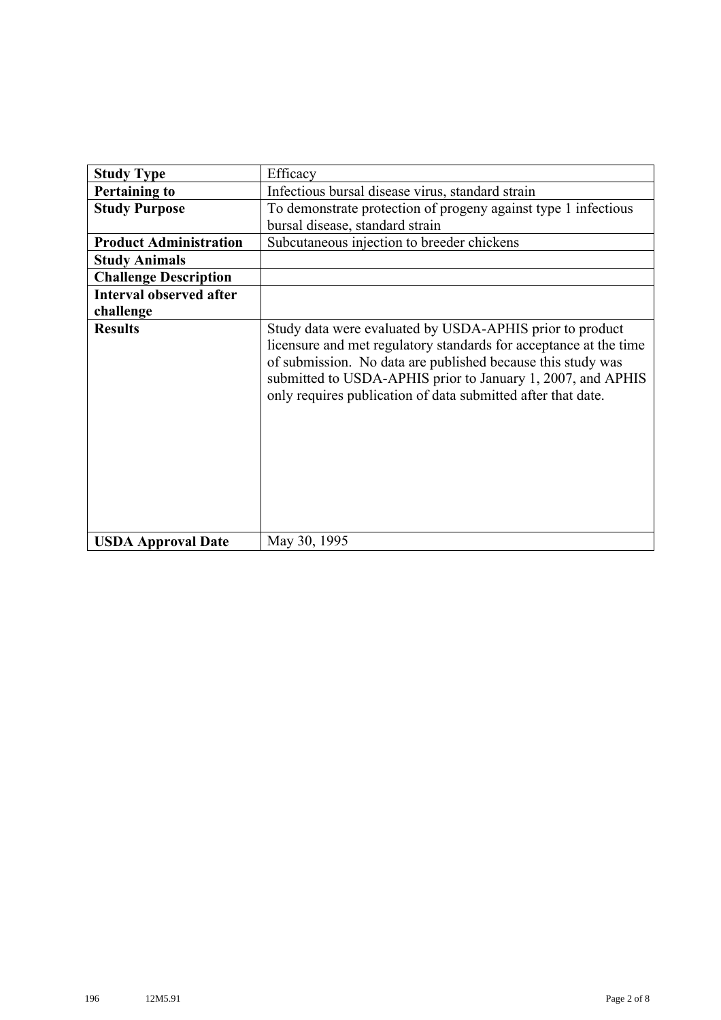| <b>Study Type</b>              | Efficacy                                                                                                                                                                                                                                                                                                                    |
|--------------------------------|-----------------------------------------------------------------------------------------------------------------------------------------------------------------------------------------------------------------------------------------------------------------------------------------------------------------------------|
| <b>Pertaining to</b>           | Infectious bursal disease virus, standard strain                                                                                                                                                                                                                                                                            |
| <b>Study Purpose</b>           | To demonstrate protection of progeny against type 1 infectious                                                                                                                                                                                                                                                              |
|                                | bursal disease, standard strain                                                                                                                                                                                                                                                                                             |
| <b>Product Administration</b>  | Subcutaneous injection to breeder chickens                                                                                                                                                                                                                                                                                  |
| <b>Study Animals</b>           |                                                                                                                                                                                                                                                                                                                             |
| <b>Challenge Description</b>   |                                                                                                                                                                                                                                                                                                                             |
| <b>Interval observed after</b> |                                                                                                                                                                                                                                                                                                                             |
| challenge                      |                                                                                                                                                                                                                                                                                                                             |
| <b>Results</b>                 | Study data were evaluated by USDA-APHIS prior to product<br>licensure and met regulatory standards for acceptance at the time<br>of submission. No data are published because this study was<br>submitted to USDA-APHIS prior to January 1, 2007, and APHIS<br>only requires publication of data submitted after that date. |
| <b>USDA Approval Date</b>      | May 30, 1995                                                                                                                                                                                                                                                                                                                |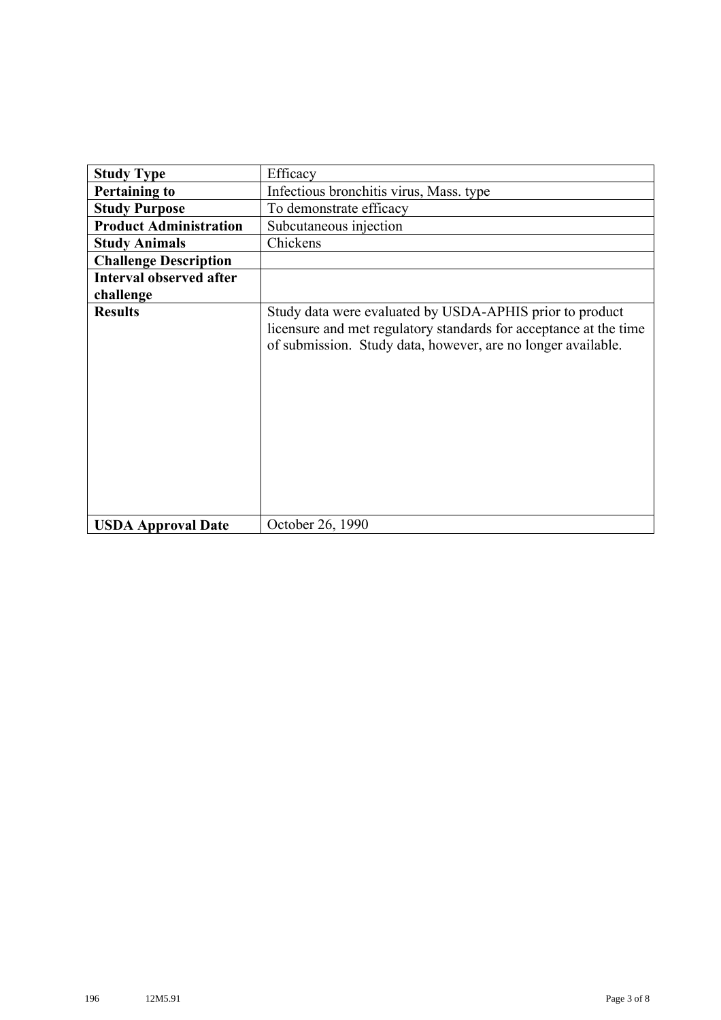| <b>Study Type</b>              | Efficacy                                                                                                                                                                                      |
|--------------------------------|-----------------------------------------------------------------------------------------------------------------------------------------------------------------------------------------------|
| <b>Pertaining to</b>           | Infectious bronchitis virus, Mass. type                                                                                                                                                       |
| <b>Study Purpose</b>           | To demonstrate efficacy                                                                                                                                                                       |
| <b>Product Administration</b>  | Subcutaneous injection                                                                                                                                                                        |
| <b>Study Animals</b>           | Chickens                                                                                                                                                                                      |
| <b>Challenge Description</b>   |                                                                                                                                                                                               |
| <b>Interval observed after</b> |                                                                                                                                                                                               |
| challenge                      |                                                                                                                                                                                               |
| <b>Results</b>                 | Study data were evaluated by USDA-APHIS prior to product<br>licensure and met regulatory standards for acceptance at the time<br>of submission. Study data, however, are no longer available. |
| <b>USDA Approval Date</b>      | October 26, 1990                                                                                                                                                                              |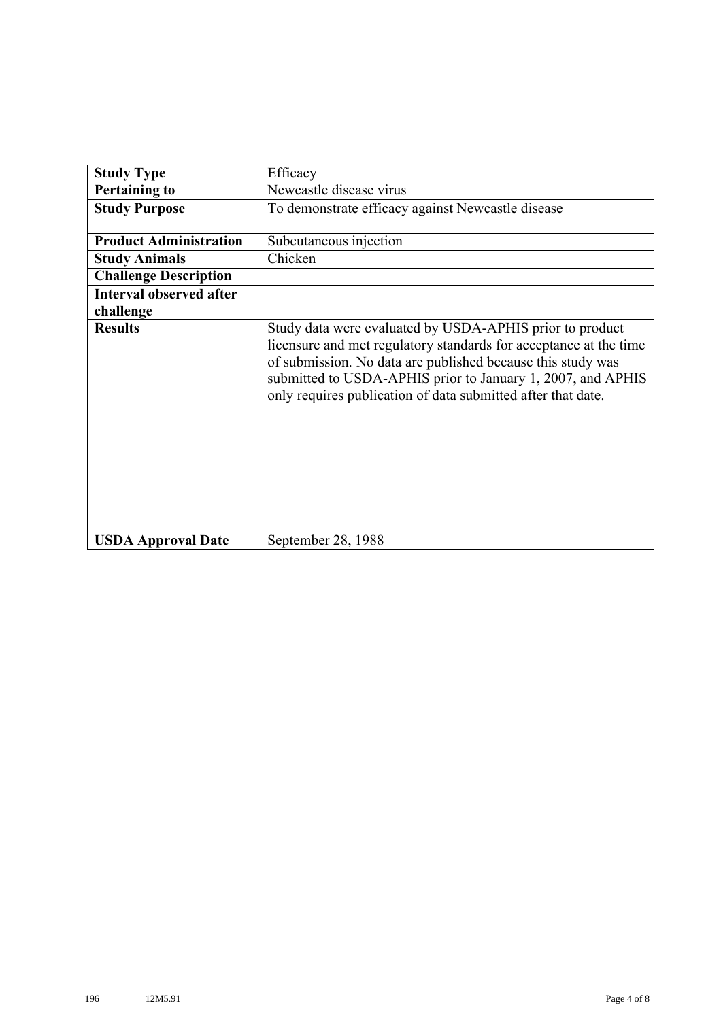| <b>Study Type</b>              | Efficacy                                                                                                                                                                                                                                                                                                                    |
|--------------------------------|-----------------------------------------------------------------------------------------------------------------------------------------------------------------------------------------------------------------------------------------------------------------------------------------------------------------------------|
| <b>Pertaining to</b>           | Newcastle disease virus                                                                                                                                                                                                                                                                                                     |
| <b>Study Purpose</b>           | To demonstrate efficacy against Newcastle disease                                                                                                                                                                                                                                                                           |
| <b>Product Administration</b>  | Subcutaneous injection                                                                                                                                                                                                                                                                                                      |
| <b>Study Animals</b>           | Chicken                                                                                                                                                                                                                                                                                                                     |
| <b>Challenge Description</b>   |                                                                                                                                                                                                                                                                                                                             |
| <b>Interval observed after</b> |                                                                                                                                                                                                                                                                                                                             |
| challenge                      |                                                                                                                                                                                                                                                                                                                             |
| <b>Results</b>                 | Study data were evaluated by USDA-APHIS prior to product<br>licensure and met regulatory standards for acceptance at the time<br>of submission. No data are published because this study was<br>submitted to USDA-APHIS prior to January 1, 2007, and APHIS<br>only requires publication of data submitted after that date. |
| <b>USDA Approval Date</b>      | September 28, 1988                                                                                                                                                                                                                                                                                                          |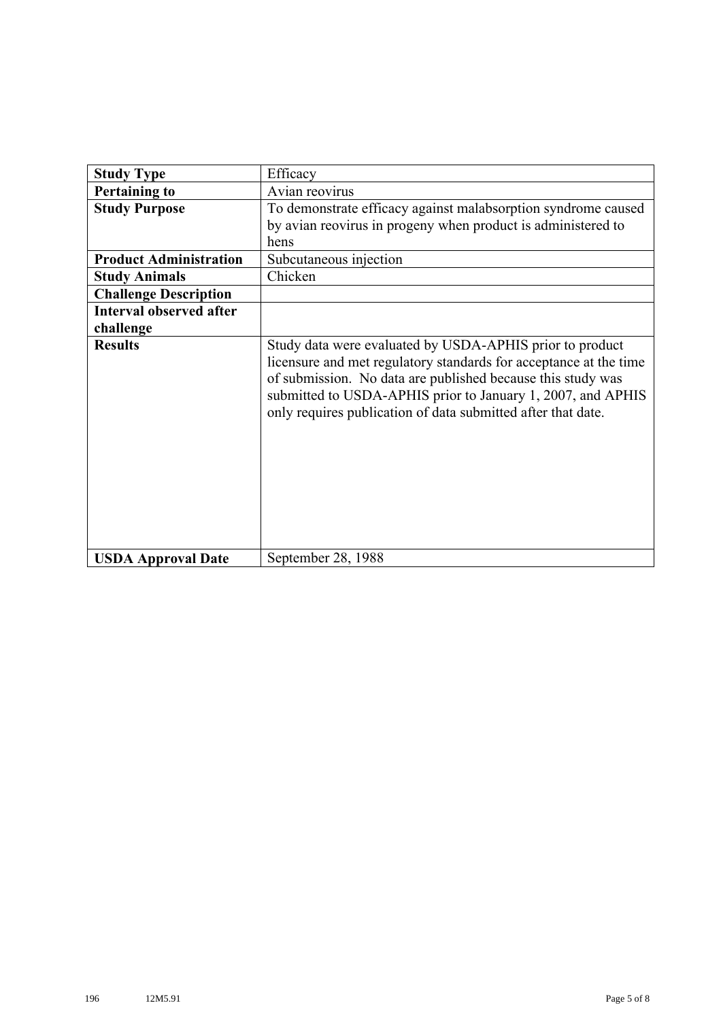| <b>Study Type</b>              | Efficacy                                                                                                                                                                                                                                                                                                                    |
|--------------------------------|-----------------------------------------------------------------------------------------------------------------------------------------------------------------------------------------------------------------------------------------------------------------------------------------------------------------------------|
| <b>Pertaining to</b>           | Avian reovirus                                                                                                                                                                                                                                                                                                              |
| <b>Study Purpose</b>           | To demonstrate efficacy against malabsorption syndrome caused                                                                                                                                                                                                                                                               |
|                                | by avian reovirus in progeny when product is administered to                                                                                                                                                                                                                                                                |
|                                | hens                                                                                                                                                                                                                                                                                                                        |
| <b>Product Administration</b>  | Subcutaneous injection                                                                                                                                                                                                                                                                                                      |
| <b>Study Animals</b>           | Chicken                                                                                                                                                                                                                                                                                                                     |
| <b>Challenge Description</b>   |                                                                                                                                                                                                                                                                                                                             |
| <b>Interval observed after</b> |                                                                                                                                                                                                                                                                                                                             |
| challenge                      |                                                                                                                                                                                                                                                                                                                             |
| <b>Results</b>                 | Study data were evaluated by USDA-APHIS prior to product<br>licensure and met regulatory standards for acceptance at the time<br>of submission. No data are published because this study was<br>submitted to USDA-APHIS prior to January 1, 2007, and APHIS<br>only requires publication of data submitted after that date. |
| <b>USDA Approval Date</b>      | September 28, 1988                                                                                                                                                                                                                                                                                                          |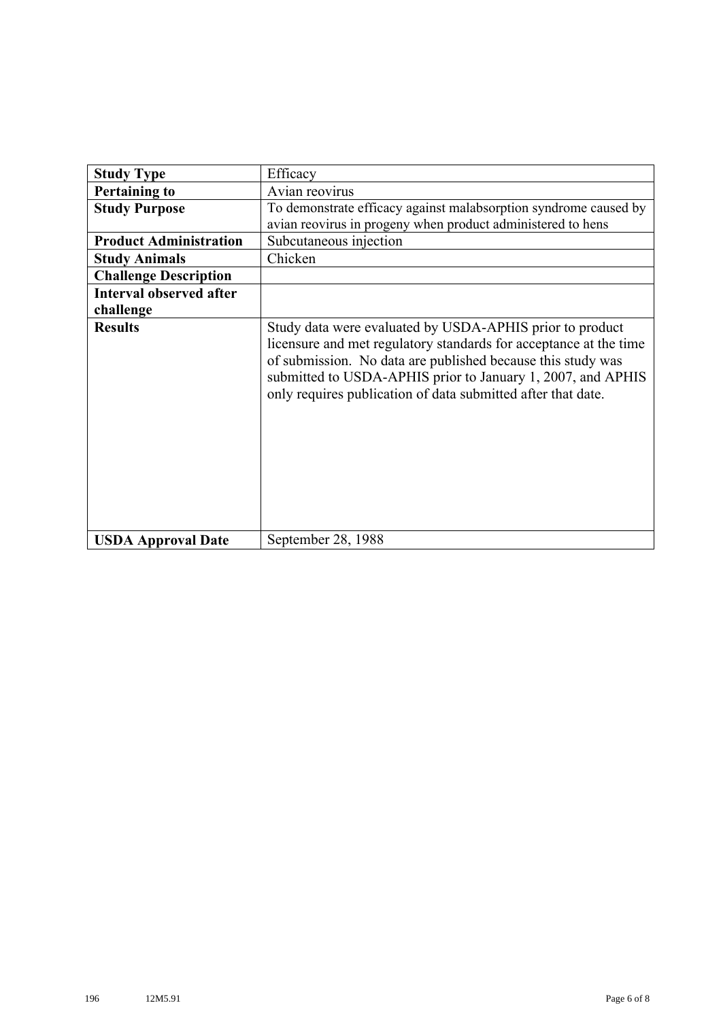| <b>Study Type</b>              | Efficacy                                                                                                                                                                                                                                                                                                                    |
|--------------------------------|-----------------------------------------------------------------------------------------------------------------------------------------------------------------------------------------------------------------------------------------------------------------------------------------------------------------------------|
| <b>Pertaining to</b>           | Avian reovirus                                                                                                                                                                                                                                                                                                              |
| <b>Study Purpose</b>           | To demonstrate efficacy against malabsorption syndrome caused by                                                                                                                                                                                                                                                            |
|                                | avian reovirus in progeny when product administered to hens                                                                                                                                                                                                                                                                 |
| <b>Product Administration</b>  | Subcutaneous injection                                                                                                                                                                                                                                                                                                      |
| <b>Study Animals</b>           | Chicken                                                                                                                                                                                                                                                                                                                     |
| <b>Challenge Description</b>   |                                                                                                                                                                                                                                                                                                                             |
| <b>Interval observed after</b> |                                                                                                                                                                                                                                                                                                                             |
| challenge                      |                                                                                                                                                                                                                                                                                                                             |
| <b>Results</b>                 | Study data were evaluated by USDA-APHIS prior to product<br>licensure and met regulatory standards for acceptance at the time<br>of submission. No data are published because this study was<br>submitted to USDA-APHIS prior to January 1, 2007, and APHIS<br>only requires publication of data submitted after that date. |
| <b>USDA Approval Date</b>      | September 28, 1988                                                                                                                                                                                                                                                                                                          |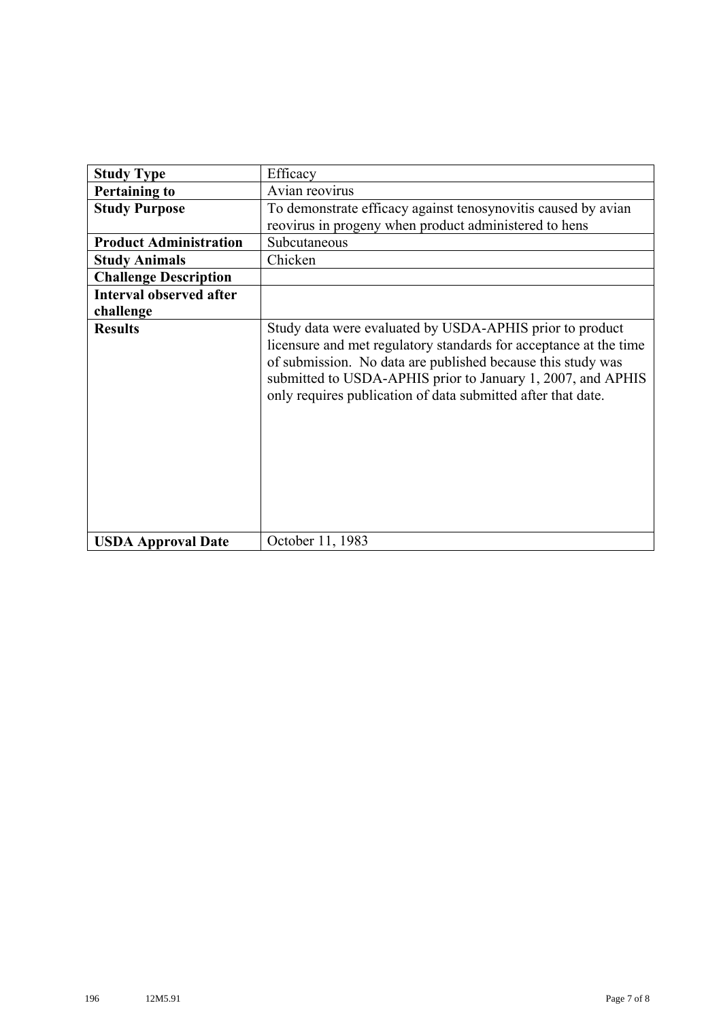| <b>Study Type</b>              | Efficacy                                                                                                                                                                                                                                                                                                                    |
|--------------------------------|-----------------------------------------------------------------------------------------------------------------------------------------------------------------------------------------------------------------------------------------------------------------------------------------------------------------------------|
| <b>Pertaining to</b>           | Avian reovirus                                                                                                                                                                                                                                                                                                              |
| <b>Study Purpose</b>           | To demonstrate efficacy against tenosynovitis caused by avian                                                                                                                                                                                                                                                               |
|                                | reovirus in progeny when product administered to hens                                                                                                                                                                                                                                                                       |
| <b>Product Administration</b>  | Subcutaneous                                                                                                                                                                                                                                                                                                                |
| <b>Study Animals</b>           | Chicken                                                                                                                                                                                                                                                                                                                     |
| <b>Challenge Description</b>   |                                                                                                                                                                                                                                                                                                                             |
| <b>Interval observed after</b> |                                                                                                                                                                                                                                                                                                                             |
| challenge                      |                                                                                                                                                                                                                                                                                                                             |
| <b>Results</b>                 | Study data were evaluated by USDA-APHIS prior to product<br>licensure and met regulatory standards for acceptance at the time<br>of submission. No data are published because this study was<br>submitted to USDA-APHIS prior to January 1, 2007, and APHIS<br>only requires publication of data submitted after that date. |
| <b>USDA Approval Date</b>      | October 11, 1983                                                                                                                                                                                                                                                                                                            |